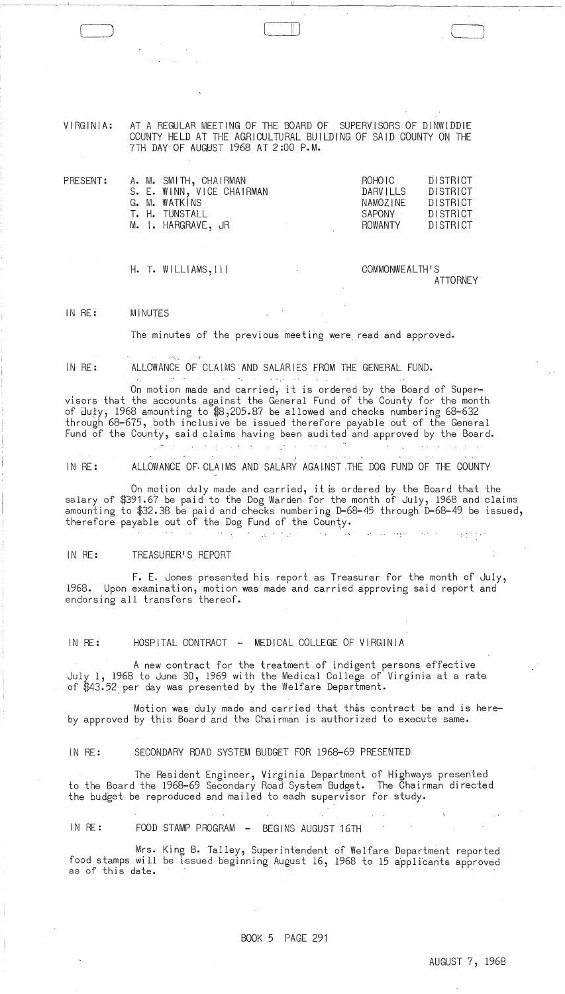VIRGINIA: AT A REGULAR MEETING OF THE BOARD OF SUPERVISORS OF DINWIDDIE COUNTY HELD AT THE AGRICULTURAL BUILDING OF SAID COUNTY ON THE 7TH DAY OF AUGUST 1968 AT 2:00 P.M.

| PRESENT: | A. M. SMITH, CHAIRMAN     | ROHO I C | DISTRICT |
|----------|---------------------------|----------|----------|
|          | S. E. WINN, VICE CHAIRMAN | DARVILLS | DISTRICT |
|          | G. M. WATKINS             | NAMOZINE | DISTRICT |
|          | T. H. TUNSTALL            | SAPONY   | DISTRICT |
|          | M. I. HARGRAVE, JR        | ROWANTY  | DISTRICT |
|          |                           |          |          |

H. T. WILLI AMS, I I I

 $\cdots$ 

COMMONWEALTH'S ATTORNEY

 $\Box$ 

 $\cup$  januar januar ja $\cup$ 

IN RE: MINUTES

The minutes of the previous meeting were. read and approved.

IN RE:

.. --.------.--~- ---

ALLOWANCE OF CLAIMS AND SALARIES FROM THE GENERAL FUND. and the contract of

On motion made and carried, it is ordered by the Board of Supervisors that the accounts against the General Fund of the County for the month of <code>Əu</code>ty, 1968 amounting to \$8,205.87 be allowed and checks numbering 68-632 through 68-675, both inclusive be issued therefore payable out of the General Fund of the County, said claims having been audited and approved by the Board.

IN RE: ALLOWANCE OF CLAIMS AND SALARY AGAINST THE DOG FUND OF THE COUNTY

On motion duly made and carried, it is ordered by the Board that the salary of \$391.67 be paid to the Dog Warden for the month of July, 1968 and claims amounting to \$32.38 be paid and checks numbering D-68-45 through D-68-49 be issued, therefore payable out of the Dog Fund of the County.

#### $\mathcal{A}(\mathbf{r})$  and  $\mathcal{A}(\mathbf{r})$ 计可靠性程序  $\sim 10^{-11}$ فلاحي والمستنبذ الملاب العوقة المتناطق

# IN RE: TREASURER'S REPORT

F. E. Jones presented his report as Treasurer for the month of July, 1968. Upon examination, motion was made and carried approving said report and endorsing all transfers thereof.

IN RE: HOSPITAL CONTRACT - MEDICAL COLLEGE OF VIRGINIA

A new contract for the treatment of indigent persons effective July 1, 1968 to June 30, 1969 with the Medical College of Virginia at a rate. of \$43.52. per day was presented by the Welfare Department.

Motion was duly made and carried that this contract be and is hereby approved by this Board and the Chairman is authorized to execute same.

#### IN RE: SECONDARY ROAD SYSTEM BUDGET FOR 1968-69 PRESENTED

The Resident Engineer, Virginia Department of Highways presented to the Board the 1968-69 Secondary Road System Budget. The Chairman directed the budget be reproduced and mailed to eadh supervisor for study.

IN RE: FOOD STAMP PROGRAM - BEGINS AUGUST 16TH

Mrs. King B. Talley, Superintendent of Welfare Department reported food stamps will be issued beginning August 16, 1968 to 15 applicants approved as of this date.